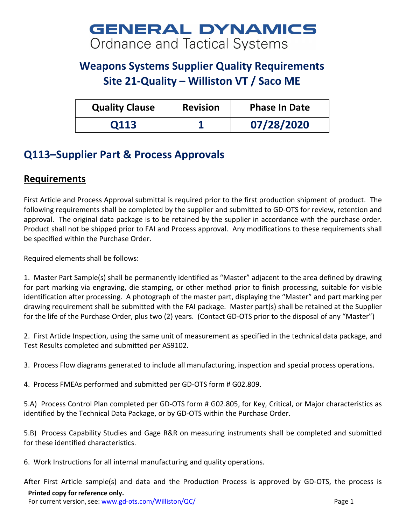## **GENERAL DYNAMICS Ordnance and Tactical Systems**

## **Weapons Systems Supplier Quality Requirements Site 21-Quality – Williston VT / Saco ME**

| <b>Quality Clause</b> | <b>Revision</b> | <b>Phase In Date</b> |
|-----------------------|-----------------|----------------------|
| 0113                  |                 | 07/28/2020           |

## **Q113–Supplier Part & Process Approvals**

## **Requirements**

First Article and Process Approval submittal is required prior to the first production shipment of product. The following requirements shall be completed by the supplier and submitted to GD-OTS for review, retention and approval. The original data package is to be retained by the supplier in accordance with the purchase order. Product shall not be shipped prior to FAI and Process approval. Any modifications to these requirements shall be specified within the Purchase Order.

Required elements shall be follows:

1. Master Part Sample(s) shall be permanently identified as "Master" adjacent to the area defined by drawing for part marking via engraving, die stamping, or other method prior to finish processing, suitable for visible identification after processing. A photograph of the master part, displaying the "Master" and part marking per drawing requirement shall be submitted with the FAI package. Master part(s) shall be retained at the Supplier for the life of the Purchase Order, plus two (2) years. (Contact GD-OTS prior to the disposal of any "Master")

2. First Article Inspection, using the same unit of measurement as specified in the technical data package, and Test Results completed and submitted per AS9102.

3. Process Flow diagrams generated to include all manufacturing, inspection and special process operations.

4. Process FMEAs performed and submitted per GD-OTS form # G02.809.

5.A) Process Control Plan completed per GD-OTS form # G02.805, for Key, Critical, or Major characteristics as identified by the Technical Data Package, or by GD-OTS within the Purchase Order.

5.B) Process Capability Studies and Gage R&R on measuring instruments shall be completed and submitted for these identified characteristics.

6. Work Instructions for all internal manufacturing and quality operations.

After First Article sample(s) and data and the Production Process is approved by GD-OTS, the process is